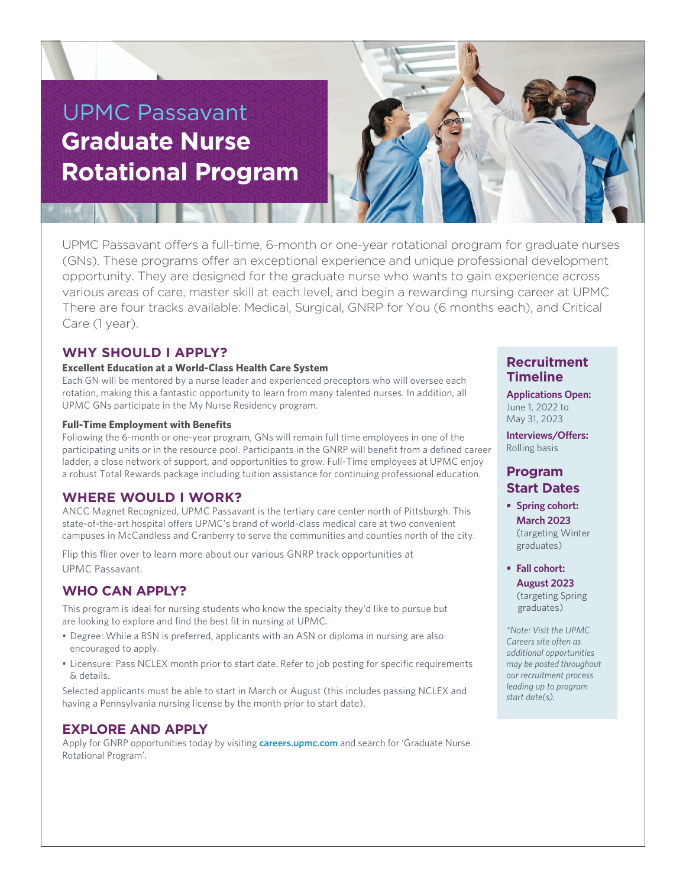# UPMC Passavant **Graduate Nurse Rotational Program**



UPMC Passavant offers a full-time, 6-month or one-year rotational program for graduate nurses (GNs). These programs offer an exceptional experience and unique professional development opportunity. They are designed for the graduate nurse who wants to gain experience across various areas of care, master skill at each level, and begin a rewarding nursing career at UPMC There are four tracks available: Medical, Surgical, GNRP for You (6 months each), and Critical Care (1 year).

## **WHY SHOULD I APPLY?**

#### **Excellent Education at a World-Class Health Care System**

Each GN will be mentored by a nurse leader and experienced preceptors who will oversee each rotation, making this a fantastic opportunity to learn from many talented nurses. In addition, all UPMC GNs participate in the My Nurse Residency program.

#### **Full-Time Employment with Benefits**

Following the 6-month or one-year program, GNs will remain full time employees in one of the participating units or in the resource pool. Participants in the GNRP will benefit from a defined career ladder, a close network of support, and opportunities to grow. Full-Time employees at UPMC enjoy a robust Total Rewards package including tuition assistance for continuing professional education.

### **WHERE WOULD I WORK?**

ANCC Magnet Recognized, UPMC Passavant is the tertiary care center north of Pittsburgh. This state-of-the-art hospital offers UPMC's brand of world-class medical care at two convenient campuses in McCandless and Cranberry to serve the communities and counties north of the city.

Flip this flier over to learn more about our various GNRP track opportunities at UPMC Passavant.

## **WHO CAN APPLY?**

This program is ideal for nursing students who know the specialty they'd like to pursue but are looking to explore and find the best fit in nursing at UPMC.

- Degree: While a BSN is preferred, applicants with an ASN or diploma in nursing are also encouraged to apply.
- Licensure: Pass NCLEX month prior to start date. Refer to job posting for specific requirements & details.

Selected applicants must be able to start in March or August (this includes passing NCLEX and having a Pennsylvania nursing license by the month prior to start date).

## **EXPLORE AND APPLY**

Apply for GNRP opportunities today by visiting **careers.upmc.com** and search for 'Graduate Nurse Rotational Program'.

## **Recruitment Timeline**

**Applications Open:** June 1, 2022 to May 31, 2023

**Interviews/Offers:** Rolling basis

# **Program Start Dates**

**• Spring cohort: March 2023** (targeting Winter

graduates) **• Fall cohort:** 

## **August 2023** (targeting Spring

graduates)

*\*Note: Visit the UPMC Careers site often as additional opportunities may be posted throughout our recruitment process leading up to program start date(s).*